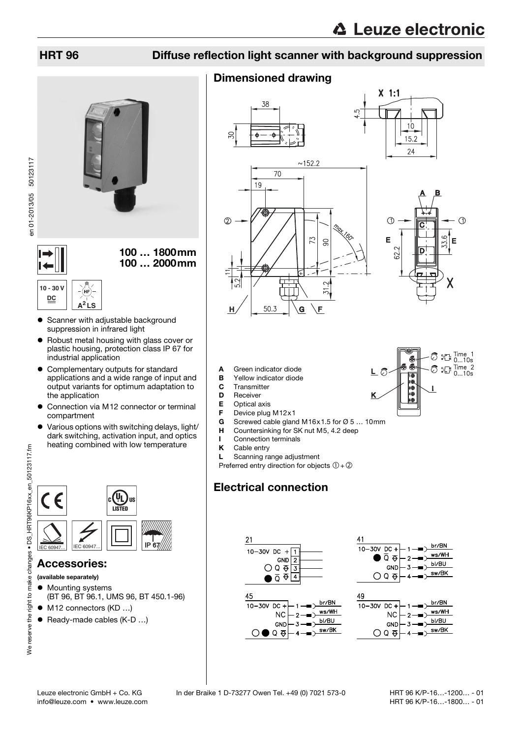## HRT 96 Diffuse reflection light scanner with background suppression

## Dimensioned drawing





- 6

ī@ 200<br>100<br>100

 $\oslash$   $\mathbb{R}^{\text{I} \text{ line 1}}_{0...10s}$  $\bigcirc$   $\mathbb{C}$  ... 10s

- **A** Green indicator diode<br>**B** Yellow indicator diode
- Yellow indicator diode
- C Transmitter
- **D** Receiver<br>**E** Optical a
- Optical axis
- **F** Device plug M12x1<br>**G** Screwed cable glan
- G Screwed cable gland M16x1.5 for  $\varnothing$  5 ... 10mm<br>H Countersinking for SK nut M5, 4.2 deep
- **H** Countersinking for SK nut M5, 4.2 deep
- Connection terminals
- K Cable entry
- L Scanning range adjustment

Preferred entry direction for objects  $(1) + (2)$ 

# Electrical connection





## Accessories:

(available separately)

- $\bullet$  Mounting systems (BT 96, BT 96.1, UMS 96, BT 450.1-96)
- M12 connectors (KD ...)
- Ready-made cables (K-D ...)



en 01-2013/05 50123117

en 01-2013/05 50123117

100 … 1800mm 100 … 2000mm

## **10 - 30 V DC A<sup>2</sup> LS**

- Scanner with adjustable background suppression in infrared light
- Robust metal housing with glass cover or plastic housing, protection class IP 67 for industrial application
- Complementary outputs for standard applications and a wide range of input and output variants for optimum adaptation to the application
- Connection via M12 connector or terminal compartment
- Various options with switching delays, light/ dark switching, activation input, and optics heating combined with low temperature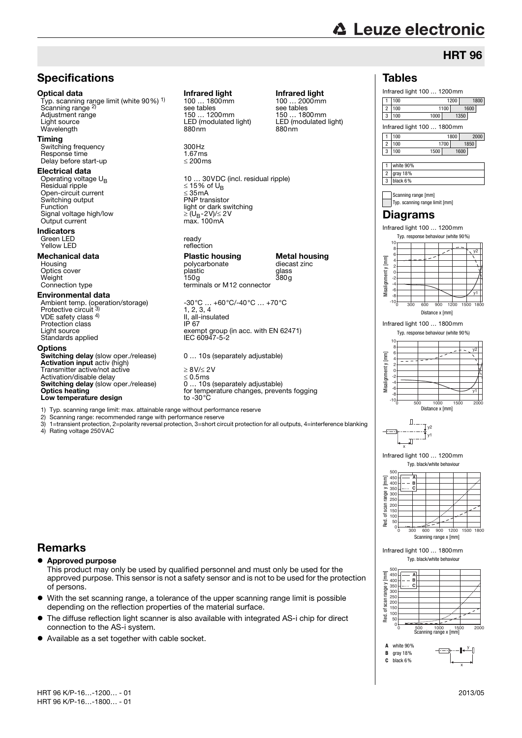Infrared light 100 ... 1200mm<br>1100 1200

1 100 1200 1800 2 100 1100 1600 3 100 1000 1350

**HRT 96** 

1 100 1800 2000 2 100 1700 1850 3 100 1500 1600

Infrared light 100 … 1800mm

Tables

1 white 90% 2 gray 18% 3 black 6%

> Scanning range [mm] Typ. scanning range limit [mm]

Infrared light 100 … 1200mm

Typ. response behaviour (white 90%)

Infrared light 100 … 1800mm

0 300 600 900 1200 1500 1800

Distance x [mm]

Typ. response behaviour (white 90%)

y2

y1

y2

y1

Diagrams

## **Specifications**

**Optical data Infrared light Infrared light Infrared light Infrared light Infrared light Infrared light Infrared light Infrared light Infrared light Infrared light Infrared light Infrared light In** Typ. scanning range limit (white 90%) 1) Scanning range <sup>2)</sup><br>Adjustment range Adjustment range 150 mm 1200mm 150 mm 150 mm 150 mm 150 mm 150 mm 150 mm 150 mm 150 mm 160 mm 160 mm 160 mm 160<br>Light source 150 modulated light) 150 mm 160 mm 160 mm 160 mm 160 mm 160 mm 160 mm 160 mm 160 mm 160 mm 160 mm Wavelength

### **Timing**

Switching frequency 300Hz<br>
Response time 167ms Response time  $\frac{1.67 \text{ ms}}{200 \text{ ms}}$ Delay before start-up

# Electrical data<br>Operating voltage U<sub>B</sub>

 $Residual$  ripple  $\leq 15\%$  of UBS of UBS of UBS of UBS of UBS of UBS of UBS of UBS of UBS of UBS of UBS of UBS of UBS of UBS of UBS of UBS of UBS of UBS of UBS of UBS of UBS of UBS of UBS of UBS of UBS of UBS of UBS of UBS of Open-circuit current served and some and some served and some served and some served and some served and some served and some served and some served and some served and some served and some served and some served and some Switching output<br>Function Signal voltage high/low Output current

## Indicators

### Green LED ready Yellow LED

Weight 150g 380g Connection type terminals or M12 connector

### Environmental data

VDE safety class 4) Protection class<br>Light source Standards applied

### **Options**

Switching delay (slow oper./release) 0 ... 10s (separately adjustable) Activation input activ (high) Transmitter active/not active<br>  $\geq 8V/\leq 2V$ <br>
Activation/disable delay  $\leq 0.5$ ms Activation/disable delay<br>  $\leq 0.5$ ms<br>
Switching delay (slow oper./release)  $\leq 0.5$ ms<br>
0... 10s (separately adjustable) Switching delay (slow oper./release)<br>Optics heating Low temperature design

1) Typ. scanning range limit: max. attainable range without performance reserve Scanning range: recommended range with performance reserve

3) 1=transient protection, 2=polarity reversal protection, 3=short circuit protection for all outputs, 4=interference blanking

### Rating voltage 250VAC

## Remarks

## Approved purpose

This product may only be used by qualified personnel and must only be used for the approved purpose. This sensor is not a safety sensor and is not to be used for the protection of persons.

- With the set scanning range, a tolerance of the upper scanning range limit is possible depending on the reflection properties of the material surface.
- The diffuse reflection light scanner is also available with integrated AS-i chip for direct connection to the AS-i system.
- Available as a set together with cable socket.

see tables<br>150 ... 1200mm LED (modulated light) LED (modulated light) LED (modulated light)

10 ... 30 VDC (incl. residual ripple)<br> $\leq$  15% of U<sub>B</sub> light or dark switching<br>  $\geq (U_B - 2V)/\leq 2V$ <br>
max. 100 mA

**Mechanical data Plastic housing Metal housing**<br>Housing Housing **Metal housing** polycarbonate diecast zinc polycarbonate dieca<br>
plastic disc glass Optics cover plastic glass

Ambient temp. (operation/storage) -30°C … +60°C/-40°C … +70°C<br>Protective circuit <sup>3)</sup> 1, 2, 3, 4 II, all-insulated<br>IP 67 Euror<br>exempt group (in acc. with EN 62471)<br>IEC 60947-5-2

for temperature changes, prevents fogging<br>to -30°C

### Misalignment y [mm] Misalignment y -4 -6 -8 -10 0 500 1000 1500 2000 Distance x [mm]

 $\boxed{\mathsf{m}}$ 

-10 -8 -6 -4 -2 0 2 4 6 8 10

Misalignment y [mm]

Misalignment y [mm]



### Infrared light 100 … 1200mm Typ. black/white behaviour

| 500                   |     |     |     |      |           |  |  |  |  |  |  |
|-----------------------|-----|-----|-----|------|-----------|--|--|--|--|--|--|
|                       |     |     |     |      |           |  |  |  |  |  |  |
|                       | в   |     |     |      |           |  |  |  |  |  |  |
|                       |     |     |     |      |           |  |  |  |  |  |  |
|                       |     |     |     |      |           |  |  |  |  |  |  |
|                       |     |     |     |      |           |  |  |  |  |  |  |
|                       |     |     |     |      |           |  |  |  |  |  |  |
|                       |     |     |     |      |           |  |  |  |  |  |  |
|                       |     |     |     |      |           |  |  |  |  |  |  |
|                       |     |     |     |      |           |  |  |  |  |  |  |
|                       |     |     |     |      |           |  |  |  |  |  |  |
|                       | 300 | 600 | 900 | 1200 | 1500 1800 |  |  |  |  |  |  |
| Scanning range x [mm] |     |     |     |      |           |  |  |  |  |  |  |

Infrared light 100 … 1800mm

### Typ. black/white behaviour





100 ... 2000mm<br>see tables

 $-30^{\circ}$ C ...  $+60^{\circ}$ C/-40 $^{\circ}$ C ...  $+70^{\circ}$ C<br>1, 2, 3, 4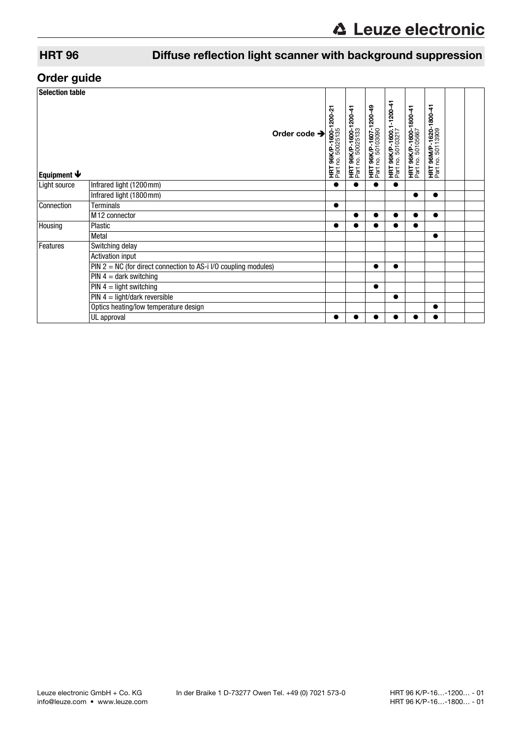# HRT 96 Diffuse reflection light scanner with background suppression

## Order guide

| <b>Selection table</b>    |                                                                   |  |                                                   |                                             |                                                    |                                                      |                                                    |                                                    |  |
|---------------------------|-------------------------------------------------------------------|--|---------------------------------------------------|---------------------------------------------|----------------------------------------------------|------------------------------------------------------|----------------------------------------------------|----------------------------------------------------|--|
| Equipment $\blacklozenge$ | Order code $\rightarrow$                                          |  | <b>HRT 96K/P-1600-1200-2</b><br>Part no. 50025135 | HRT 96K/P-1600-1200-41<br>Part no. 50025133 | <b>HRT 96K/P-1607-1200-49</b><br>Part no. 50103090 | <b>HRT 96K/P-1600.1-1200-41</b><br>Part no. 50103217 | <b>HRT 96K/P-1600-1800-41</b><br>Part no. 50105667 | <b>HRT 96M/P-1620-1800-41</b><br>Part no. 50113909 |  |
| Light source              | Infrared light (1200mm)                                           |  | $\bullet$                                         |                                             |                                                    |                                                      |                                                    |                                                    |  |
|                           | Infrared light (1800mm)                                           |  |                                                   |                                             |                                                    |                                                      | $\bullet$                                          | $\bullet$                                          |  |
| Connection                | <b>Terminals</b>                                                  |  | $\bullet$                                         |                                             |                                                    |                                                      |                                                    |                                                    |  |
|                           | M <sub>12</sub> connector                                         |  |                                                   |                                             | e                                                  |                                                      |                                                    | $\bullet$                                          |  |
| Housing                   | Plastic                                                           |  | ●                                                 |                                             | ●                                                  |                                                      |                                                    |                                                    |  |
|                           | Metal                                                             |  |                                                   |                                             |                                                    |                                                      |                                                    |                                                    |  |
| Features                  | Switching delay                                                   |  |                                                   |                                             |                                                    |                                                      |                                                    |                                                    |  |
|                           | Activation input                                                  |  |                                                   |                                             |                                                    |                                                      |                                                    |                                                    |  |
|                           | PIN $2 = NC$ (for direct connection to AS-i I/O coupling modules) |  |                                                   |                                             | $\bullet$                                          | ●                                                    |                                                    |                                                    |  |
|                           | $PIN 4 = dark$ switching                                          |  |                                                   |                                             |                                                    |                                                      |                                                    |                                                    |  |
|                           | $PIN 4 = light switching$                                         |  |                                                   |                                             | $\bullet$                                          |                                                      |                                                    |                                                    |  |
|                           | $PIN 4 = light/dark$ reversible                                   |  |                                                   |                                             |                                                    | ●                                                    |                                                    |                                                    |  |
|                           | Optics heating/low temperature design                             |  |                                                   |                                             |                                                    |                                                      |                                                    | $\bullet$                                          |  |
|                           | UL approval                                                       |  | $\bullet$                                         |                                             | e                                                  |                                                      |                                                    |                                                    |  |